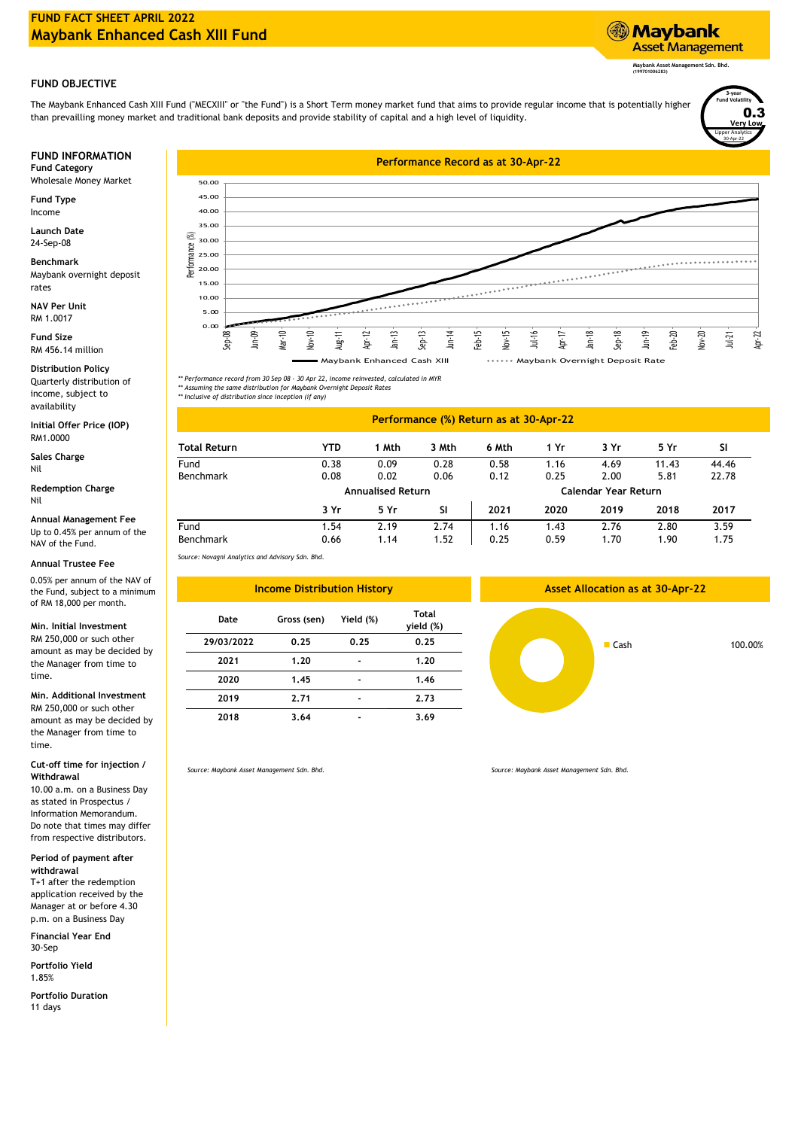# **FUND FACT SHEET APRIL 2022 Maybank Enhanced Cash XIII Fund**

## **FUND OBJECTIVE**

The Maybank Enhanced Cash XIII Fund ("MECXIII" or "the Fund") is a Short Term money market fund that aims to provide regular income that is potentially higher than prevailling money market and traditional bank deposits and provide stability of capital and a high level of liquidity.

Wholesale Money Market

**Fund Type** Income

**Launch Date** 24-Sep-08

**Benchmark** Maybank overnight deposit rates

**NAV Per Unit** RM 1.0017

**Fund Size** RM 456.14 million

Quarterly distribution of income, subject to availability **Distribution Policy**

**Initial Offer Price (IOP)** RM1.0000

**Sales Charge** Nil

Nil **Redemption Charge**

Up to 0.45% per annum of the NAV of the Fund. **Annual Management Fee**

## **Annual Trustee Fee**

0.05% per annum of the NAV of the Fund, subject to a minimum of RM 18,000 per month.

## **Min. Initial Investment**

RM 250,000 or such other amount as may be decided by the Manager from time to time.

### **Min. Additional Investment**

RM 250,000 or such other amount as may be decided by the Manager from time to time.

#### **Cut-off time for injection / Withdrawal**

10.00 a.m. on a Business Day as stated in Prospectus / Information Memorandum. Do note that times may differ from respective distributors.

**Period of payment after withdrawal**

T+1 after the redemption application received by the Manager at or before 4.30 p.m. on a Business Day

**Financial Year End** 30-Sep

**Portfolio Yield** 1.85%

**Portfolio Duration** 11 days



Lipper Analytics

30-Apr-22

**3-year Fund Volatility Very Low** 0.3

**Maybank Asset Management Sdn. Bhd. (199701006283)**

**Asset Management** 

**Maybank** 

*\*\* Performance record from 30 Sep 08 - 30 Apr 22, income reinvested, calculated in MYR \*\* Assuming the same distribution for Maybank Overnight Deposit Rates*

*\*\* Inclusive of distribution since inception (if any)*

# **Performance (%) Return as at 30-Apr-22**

| <b>Total Return</b> | YTD                      | 1 Mth | 3 Mth | 6 Mth                | 1 Yr | 3 Yr | 5 Yr  | <b>SI</b> |
|---------------------|--------------------------|-------|-------|----------------------|------|------|-------|-----------|
| Fund                | 0.38                     | 0.09  | 0.28  | 0.58                 | 1.16 | 4.69 | 11.43 | 44.46     |
| <b>Benchmark</b>    | 0.08                     | 0.02  | 0.06  | 0.12                 | 0.25 | 2.00 | 5.81  | 22.78     |
|                     | <b>Annualised Return</b> |       |       | Calendar Year Return |      |      |       |           |
|                     | 3 Yr                     | 5 Yr  | SI    | 2021                 | 2020 | 2019 | 2018  | 2017      |
| Fund                | 1.54                     | 2.19  | 2.74  | 1.16                 | 1.43 | 2.76 | 2.80  | 3.59      |
| <b>Benchmark</b>    | 0.66                     | 1.14  | 1.52  | 0.25                 | 0.59 | 1.70 | 1.90  | 1.75      |

*Source: Novagni Analytics and Advisory Sdn. Bhd.*



*Source: Maybank Asset Management Sdn. Bhd.*

*Source: Maybank Asset Management Sdn. Bhd.*